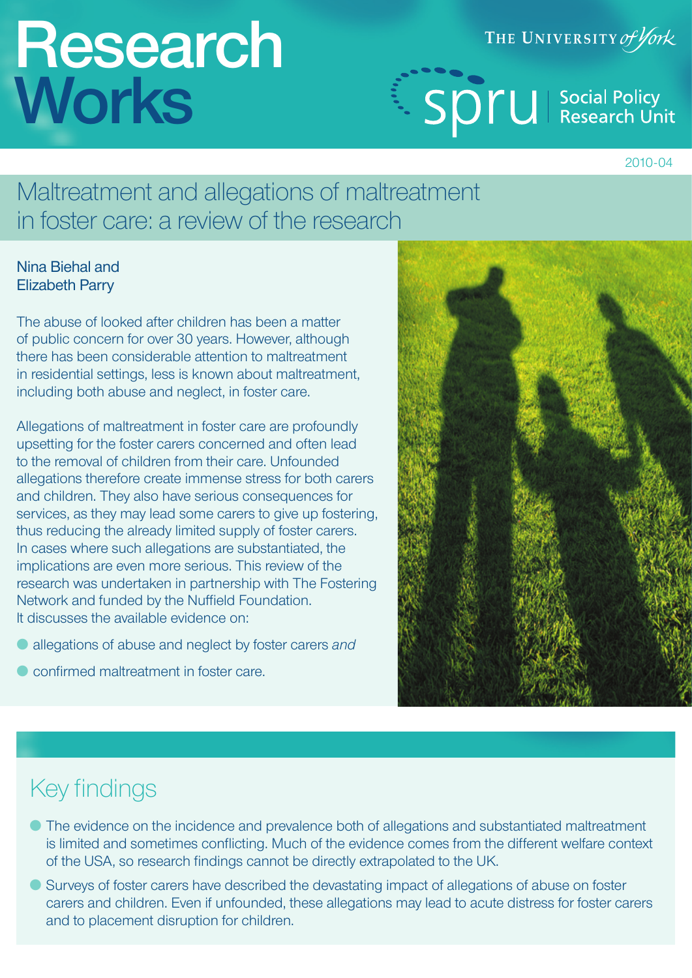# **Research Works**

THE UNIVERSITY of York

Sprude Social Policy

2010-04

## Maltreatment and allegations of maltreatment in foster care: a review of the research

### Nina Biehal and Elizabeth Parry

The abuse of looked after children has been a matter of public concern for over 30 years. However, although there has been considerable attention to maltreatment in residential settings, less is known about maltreatment, including both abuse and neglect, in foster care.

Allegations of maltreatment in foster care are profoundly upsetting for the foster carers concerned and often lead to the removal of children from their care. Unfounded allegations therefore create immense stress for both carers and children. They also have serious consequences for services, as they may lead some carers to give up fostering, thus reducing the already limited supply of foster carers. In cases where such allegations are substantiated, the implications are even more serious. This review of the research was undertaken in partnership with The Fostering Network and funded by the Nuffield Foundation. It discusses the available evidence on:

- allegations of abuse and neglect by foster carers *and*
- confirmed maltreatment in foster care.



## Key findings

- The evidence on the incidence and prevalence both of allegations and substantiated maltreatment is limited and sometimes conflicting. Much of the evidence comes from the different welfare context of the USA, so research findings cannot be directly extrapolated to the UK.
- Surveys of foster carers have described the devastating impact of allegations of abuse on foster carers and children. Even if unfounded, these allegations may lead to acute distress for foster carers and to placement disruption for children.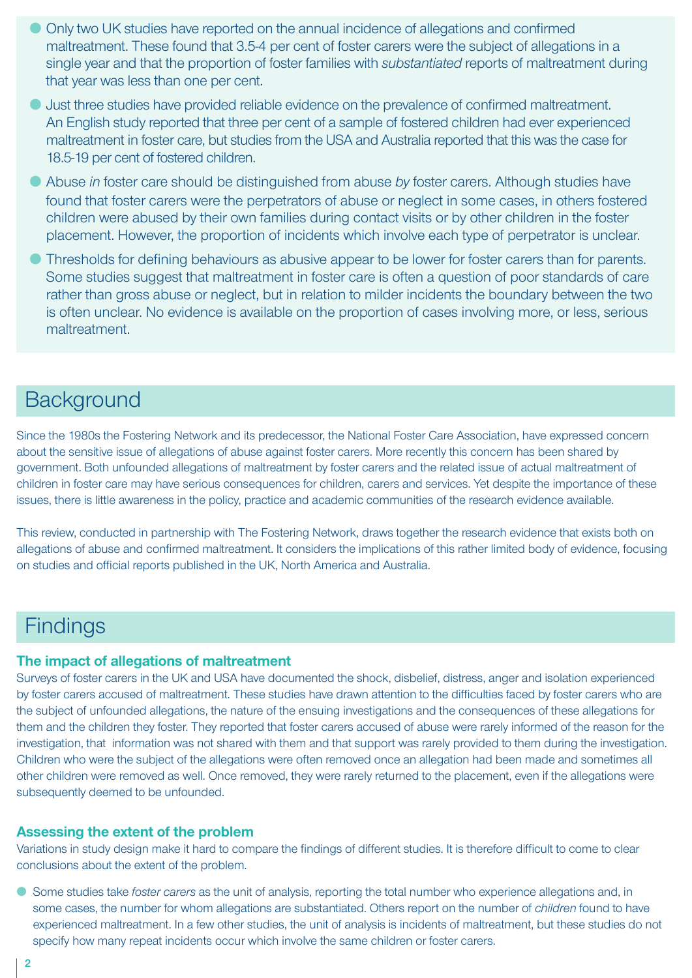- Only two UK studies have reported on the annual incidence of allegations and confirmed maltreatment. These found that 3.5-4 per cent of foster carers were the subject of allegations in a single year and that the proportion of foster families with *substantiated* reports of maltreatment during that year was less than one per cent.
- Just three studies have provided reliable evidence on the prevalence of confirmed maltreatment. An English study reported that three per cent of a sample of fostered children had ever experienced maltreatment in foster care, but studies from the USA and Australia reported that this was the case for 18.5-19 per cent of fostered children.
- Abuse *in* foster care should be distinguished from abuse *by* foster carers. Although studies have found that foster carers were the perpetrators of abuse or neglect in some cases, in others fostered children were abused by their own families during contact visits or by other children in the foster placement. However, the proportion of incidents which involve each type of perpetrator is unclear.
- Thresholds for defining behaviours as abusive appear to be lower for foster carers than for parents. Some studies suggest that maltreatment in foster care is often a question of poor standards of care rather than gross abuse or neglect, but in relation to milder incidents the boundary between the two is often unclear. No evidence is available on the proportion of cases involving more, or less, serious maltreatment.

## **Background**

Since the 1980s the Fostering Network and its predecessor, the National Foster Care Association, have expressed concern about the sensitive issue of allegations of abuse against foster carers. More recently this concern has been shared by government. Both unfounded allegations of maltreatment by foster carers and the related issue of actual maltreatment of children in foster care may have serious consequences for children, carers and services. Yet despite the importance of these issues, there is little awareness in the policy, practice and academic communities of the research evidence available.

This review, conducted in partnership with The Fostering Network, draws together the research evidence that exists both on allegations of abuse and confirmed maltreatment. It considers the implications of this rather limited body of evidence, focusing on studies and official reports published in the UK, North America and Australia.

## **Findings**

#### **The impact of allegations of maltreatment**

Surveys of foster carers in the UK and USA have documented the shock, disbelief, distress, anger and isolation experienced by foster carers accused of maltreatment. These studies have drawn attention to the difficulties faced by foster carers who are the subject of unfounded allegations, the nature of the ensuing investigations and the consequences of these allegations for them and the children they foster. They reported that foster carers accused of abuse were rarely informed of the reason for the investigation, that information was not shared with them and that support was rarely provided to them during the investigation. Children who were the subject of the allegations were often removed once an allegation had been made and sometimes all other children were removed as well. Once removed, they were rarely returned to the placement, even if the allegations were subsequently deemed to be unfounded.

#### **Assessing the extent of the problem**

Variations in study design make it hard to compare the findings of different studies. It is therefore difficult to come to clear conclusions about the extent of the problem.

● Some studies take *foster carers* as the unit of analysis, reporting the total number who experience allegations and, in some cases, the number for whom allegations are substantiated. Others report on the number of *children* found to have experienced maltreatment. In a few other studies, the unit of analysis is incidents of maltreatment, but these studies do not specify how many repeat incidents occur which involve the same children or foster carers.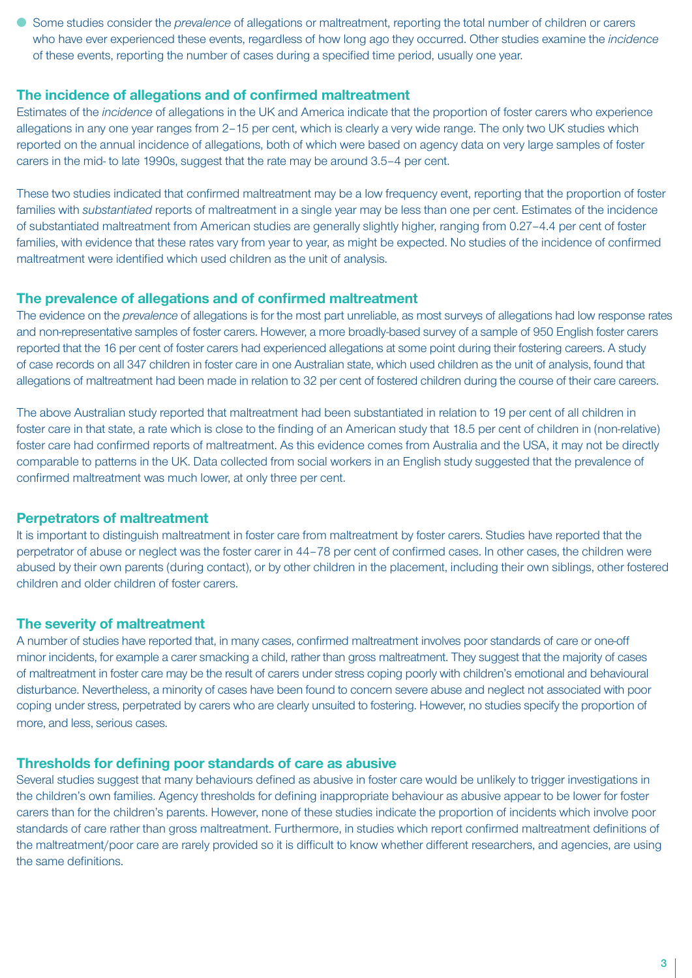● Some studies consider the *prevalence* of allegations or maltreatment, reporting the total number of children or carers who have ever experienced these events, regardless of how long ago they occurred. Other studies examine the *incidence* of these events, reporting the number of cases during a specified time period, usually one year.

#### **The incidence of allegations and of confirmed maltreatment**

Estimates of the *incidence* of allegations in the UK and America indicate that the proportion of foster carers who experience allegations in any one year ranges from 2–15 per cent, which is clearly a very wide range. The only two UK studies which reported on the annual incidence of allegations, both of which were based on agency data on very large samples of foster carers in the mid- to late 1990s, suggest that the rate may be around 3.5–4 per cent.

These two studies indicated that confirmed maltreatment may be a low frequency event, reporting that the proportion of foster families with *substantiated* reports of maltreatment in a single year may be less than one per cent. Estimates of the incidence of substantiated maltreatment from American studies are generally slightly higher, ranging from 0.27–4.4 per cent of foster families, with evidence that these rates vary from year to year, as might be expected. No studies of the incidence of confirmed maltreatment were identified which used children as the unit of analysis.

#### **The prevalence of allegations and of confirmed maltreatment**

The evidence on the *prevalence* of allegations is for the most part unreliable, as most surveys of allegations had low response rates and non-representative samples of foster carers. However, a more broadly-based survey of a sample of 950 English foster carers reported that the 16 per cent of foster carers had experienced allegations at some point during their fostering careers. A study of case records on all 347 children in foster care in one Australian state, which used children as the unit of analysis, found that allegations of maltreatment had been made in relation to 32 per cent of fostered children during the course of their care careers.

The above Australian study reported that maltreatment had been substantiated in relation to 19 per cent of all children in foster care in that state, a rate which is close to the finding of an American study that 18.5 per cent of children in (non-relative) foster care had confirmed reports of maltreatment. As this evidence comes from Australia and the USA, it may not be directly comparable to patterns in the UK. Data collected from social workers in an English study suggested that the prevalence of confirmed maltreatment was much lower, at only three per cent.

#### **Perpetrators of maltreatment**

It is important to distinguish maltreatment in foster care from maltreatment by foster carers. Studies have reported that the perpetrator of abuse or neglect was the foster carer in 44–78 per cent of confirmed cases. In other cases, the children were abused by their own parents (during contact), or by other children in the placement, including their own siblings, other fostered children and older children of foster carers.

#### **The severity of maltreatment**

A number of studies have reported that, in many cases, confirmed maltreatment involves poor standards of care or one-off minor incidents, for example a carer smacking a child, rather than gross maltreatment. They suggest that the majority of cases of maltreatment in foster care may be the result of carers under stress coping poorly with children's emotional and behavioural disturbance. Nevertheless, a minority of cases have been found to concern severe abuse and neglect not associated with poor coping under stress, perpetrated by carers who are clearly unsuited to fostering. However, no studies specify the proportion of more, and less, serious cases.

#### **Thresholds for defining poor standards of care as abusive**

Several studies suggest that many behaviours defined as abusive in foster care would be unlikely to trigger investigations in the children's own families. Agency thresholds for defining inappropriate behaviour as abusive appear to be lower for foster carers than for the children's parents. However, none of these studies indicate the proportion of incidents which involve poor standards of care rather than gross maltreatment. Furthermore, in studies which report confirmed maltreatment definitions of the maltreatment/poor care are rarely provided so it is difficult to know whether different researchers, and agencies, are using the same definitions.